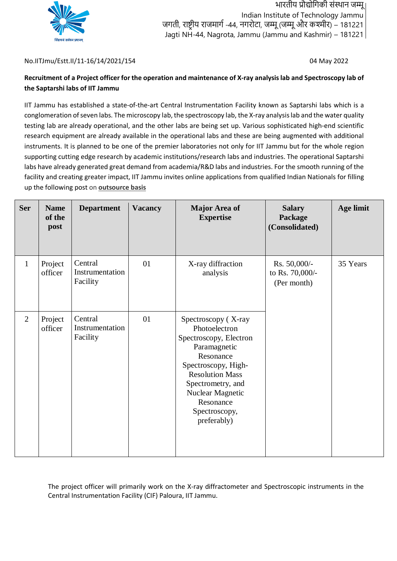

भारतीय प्रौद्योगिकी संस्थान जम्मू Indian Institute of Technology Jammu जगती, राष्ट्रीय राजमार्ग -44, नगरोटा, जम्मू (जम्मू और कश्मीर) – 181221 Jagti NH-44, Nagrota, Jammu (Jammu and Kashmir) – 181221

#### No.IITJmu/Estt.II/11-16/14/2021/154 04 May 2022

# Recruitment of a Project officer for the operation and maintenance of X-ray analysis lab and Spectroscopy lab of **the Saptarshi labs of IIT Jammu**

IIT Jammu has established a state-of-the-art Central Instrumentation Facility known as Saptarshi labs which is a conglomeration of seven labs. The microscopy lab, the spectroscopy lab, the X-ray analysis lab and the water quality testing lab are already operational, and the other labs are being set up. Various sophisticated high-end scientific research equipment are already available in the operational labs and these are being augmented with additional instruments. It is planned to be one of the premier laboratories not only for IIT Jammu but for the whole region supporting cutting edge research by academic institutions/research labs and industries. The operational Saptarshi labs have already generated great demand from academia/R&D labs and industries. For the smooth running of the facility and creating greater impact, IIT Jammu invites online applications from qualified Indian Nationals for filling up the following post on **outsource basis**

| <b>Ser</b>     | <b>Name</b><br>of the<br>post | <b>Department</b>                      | <b>Vacancy</b> | <b>Major Area of</b><br><b>Expertise</b>                                                                                                                                                                                           | <b>Salary</b><br>Package<br>(Consolidated)     | Age limit |
|----------------|-------------------------------|----------------------------------------|----------------|------------------------------------------------------------------------------------------------------------------------------------------------------------------------------------------------------------------------------------|------------------------------------------------|-----------|
| 1              | Project<br>officer            | Central<br>Instrumentation<br>Facility | 01             | X-ray diffraction<br>analysis                                                                                                                                                                                                      | Rs. 50,000/-<br>to Rs. 70,000/-<br>(Per month) | 35 Years  |
| $\overline{2}$ | Project<br>officer            | Central<br>Instrumentation<br>Facility | 01             | Spectroscopy (X-ray<br>Photoelectron<br>Spectroscopy, Electron<br>Paramagnetic<br>Resonance<br>Spectroscopy, High-<br><b>Resolution Mass</b><br>Spectrometry, and<br>Nuclear Magnetic<br>Resonance<br>Spectroscopy,<br>preferably) |                                                |           |

The project officer will primarily work on the X-ray diffractometer and Spectroscopic instruments in the Central Instrumentation Facility (CIF) Paloura, IIT Jammu.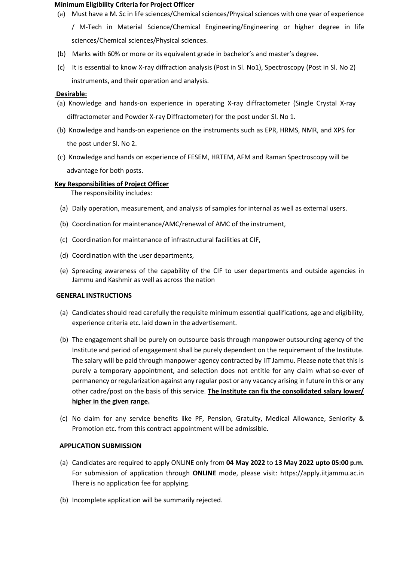#### **Minimum Eligibility Criteria for Project Officer**

- (a) Must have a M. Sc in life sciences/Chemical sciences/Physical sciences with one year of experience / M-Tech in Material Science/Chemical Engineering/Engineering or higher degree in life sciences/Chemical sciences/Physical sciences.
- (b) Marks with 60% or more or its equivalent grade in bachelor's and master's degree.
- (c) It is essential to know X-ray diffraction analysis (Post in Sl. No1), Spectroscopy (Post in Sl. No 2) instruments, and their operation and analysis.

### **Desirable:**

- (a) Knowledge and hands-on experience in operating X-ray diffractometer (Single Crystal X-ray diffractometer and Powder X-ray Diffractometer) for the post under Sl. No 1.
- (b) Knowledge and hands-on experience on the instruments such as EPR, HRMS, NMR, and XPS for the post under Sl. No 2.
- (c) Knowledge and hands on experience of FESEM, HRTEM, AFM and Raman Spectroscopy will be advantage for both posts.

## **Key Responsibilities of Project Officer**

The responsibility includes:

- (a) Daily operation, measurement, and analysis of samples for internal as well as external users.
- (b) Coordination for maintenance/AMC/renewal of AMC of the instrument,
- (c) Coordination for maintenance of infrastructural facilities at CIF,
- (d) Coordination with the user departments,
- (e) Spreading awareness of the capability of the CIF to user departments and outside agencies in Jammu and Kashmir as well as across the nation

### **GENERAL INSTRUCTIONS**

- (a) Candidates should read carefully the requisite minimum essential qualifications, age and eligibility, experience criteria etc. laid down in the advertisement.
- (b) The engagement shall be purely on outsource basis through manpower outsourcing agency of the Institute and period of engagement shall be purely dependent on the requirement of the Institute. The salary will be paid through manpower agency contracted by IIT Jammu. Please note that thisis purely a temporary appointment, and selection does not entitle for any claim what-so-ever of permanency or regularization against any regular post or any vacancy arising in future in this or any other cadre/post on the basis of this service. **The Institute can fix the consolidated salary lower/ higher in the given range.**
- (c) No claim for any service benefits like PF, Pension, Gratuity, Medical Allowance, Seniority & Promotion etc. from this contract appointment will be admissible.

### **APPLICATION SUBMISSION**

- (a) Candidates are required to apply ONLINE only from **04 May 2022** to **13 May 2022 upto 05:00 p.m.** For submission of application through **ONLINE** mode, please visit: https://apply.iitjammu.ac.in There is no application fee for applying.
- (b) Incomplete application will be summarily rejected.